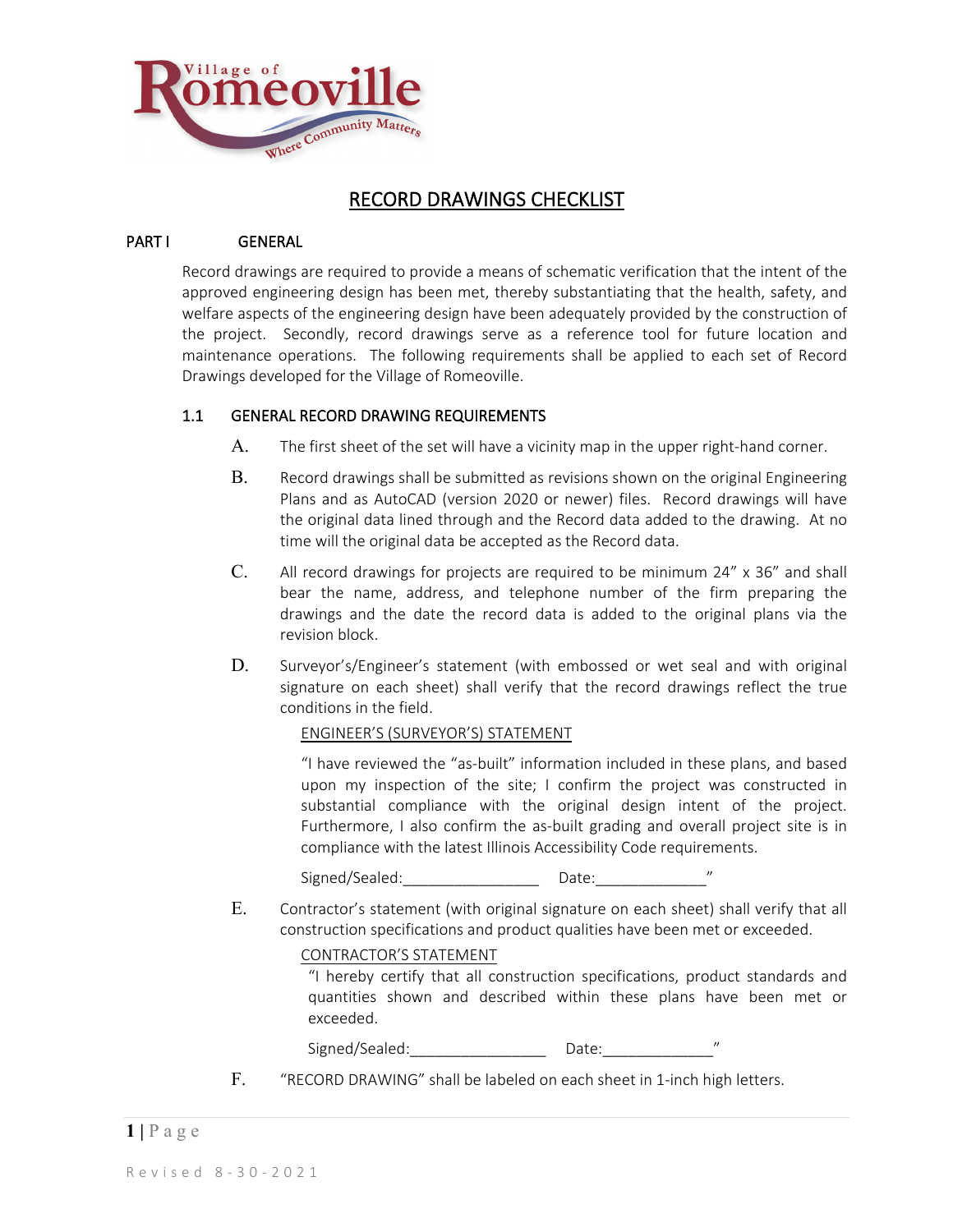

# RECORD DRAWINGS CHECKLIST

#### PART I GENERAL

Record drawings are required to provide a means of schematic verification that the intent of the approved engineering design has been met, thereby substantiating that the health, safety, and welfare aspects of the engineering design have been adequately provided by the construction of the project. Secondly, record drawings serve as a reference tool for future location and maintenance operations. The following requirements shall be applied to each set of Record Drawings developed for the Village of Romeoville.

## 1.1 GENERAL RECORD DRAWING REQUIREMENTS

- A. The first sheet of the set will have a vicinity map in the upper right-hand corner.
- B. Record drawings shall be submitted as revisions shown on the original Engineering Plans and as AutoCAD (version 2020 or newer) files. Record drawings will have the original data lined through and the Record data added to the drawing. At no time will the original data be accepted as the Record data.
- C. All record drawings for projects are required to be minimum 24" x 36" and shall bear the name, address, and telephone number of the firm preparing the drawings and the date the record data is added to the original plans via the revision block.
- D. Surveyor's/Engineer's statement (with embossed or wet seal and with original signature on each sheet) shall verify that the record drawings reflect the true conditions in the field.

#### ENGINEER'S (SURVEYOR'S) STATEMENT

"I have reviewed the "as-built" information included in these plans, and based upon my inspection of the site; I confirm the project was constructed in substantial compliance with the original design intent of the project. Furthermore, I also confirm the as-built grading and overall project site is in compliance with the latest Illinois Accessibility Code requirements.

Signed/Sealed: each Date:

E. Contractor's statement (with original signature on each sheet) shall verify that all construction specifications and product qualities have been met or exceeded.

#### CONTRACTOR'S STATEMENT

"I hereby certify that all construction specifications, product standards and quantities shown and described within these plans have been met or exceeded.

Signed/Sealed: \_\_\_\_\_\_\_\_\_\_\_\_\_\_\_\_\_\_\_\_\_\_\_ Date:

F. "RECORD DRAWING" shall be labeled on each sheet in 1-inch high letters.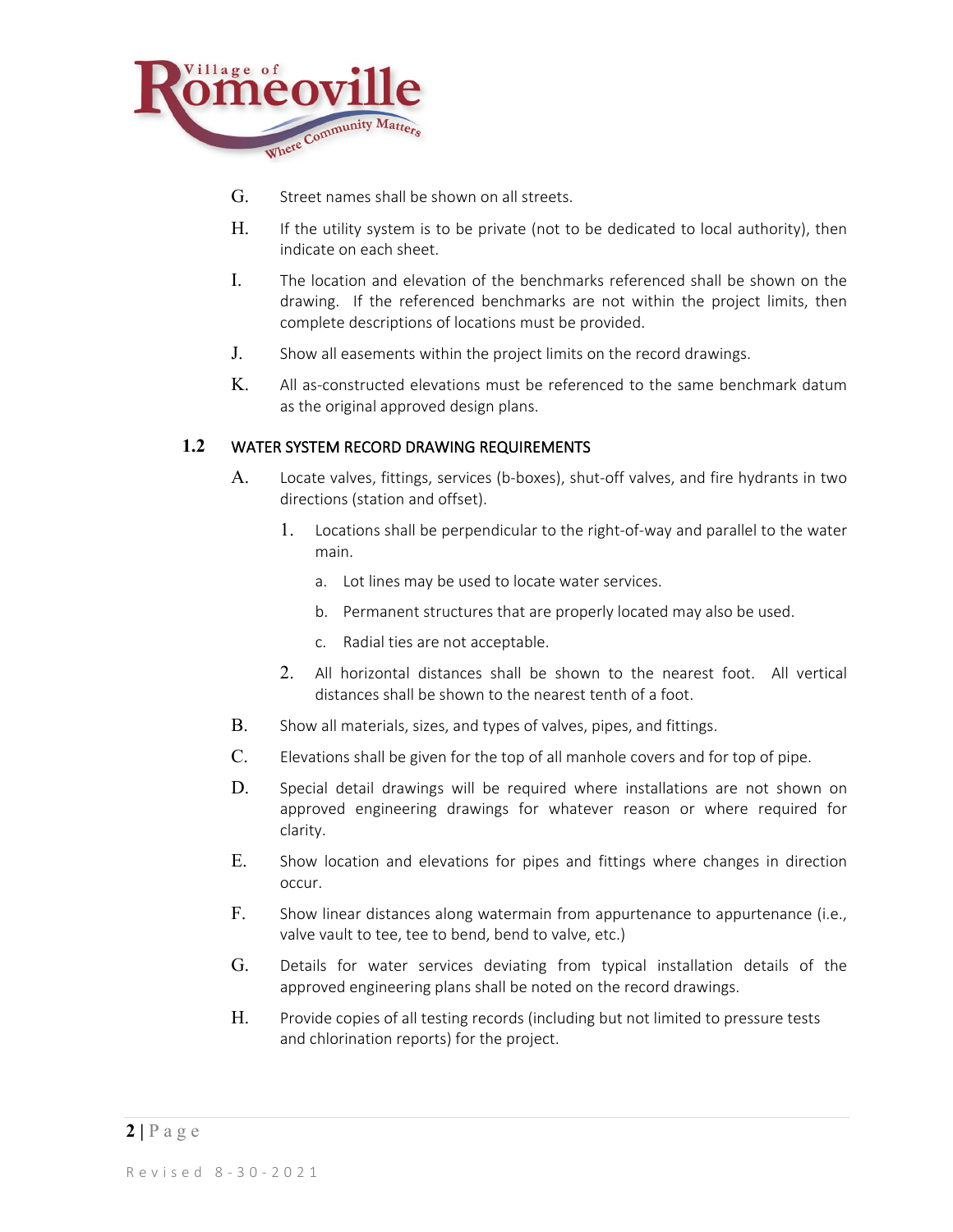

- G. Street names shall be shown on all streets.
- H. If the utility system is to be private (not to be dedicated to local authority), then indicate on each sheet.
- I. The location and elevation of the benchmarks referenced shall be shown on the drawing. If the referenced benchmarks are not within the project limits, then complete descriptions of locations must be provided.
- J. Show all easements within the project limits on the record drawings.
- K. All as-constructed elevations must be referenced to the same benchmark datum as the original approved design plans.

#### **1.2** WATER SYSTEM RECORD DRAWING REQUIREMENTS

- A. Locate valves, fittings, services (b-boxes), shut-off valves, and fire hydrants in two directions (station and offset).
	- 1. Locations shall be perpendicular to the right-of-way and parallel to the water main.
		- a. Lot lines may be used to locate water services.
		- b. Permanent structures that are properly located may also be used.
		- c. Radial ties are not acceptable.
	- 2. All horizontal distances shall be shown to the nearest foot. All vertical distances shall be shown to the nearest tenth of a foot.
- B. Show all materials, sizes, and types of valves, pipes, and fittings.
- C. Elevations shall be given for the top of all manhole covers and for top of pipe.
- D. Special detail drawings will be required where installations are not shown on approved engineering drawings for whatever reason or where required for clarity.
- E. Show location and elevations for pipes and fittings where changes in direction occur.
- F. Show linear distances along watermain from appurtenance to appurtenance (i.e., valve vault to tee, tee to bend, bend to valve, etc.)
- G. Details for water services deviating from typical installation details of the approved engineering plans shall be noted on the record drawings.
- H. Provide copies of all testing records (including but not limited to pressure tests and chlorination reports) for the project.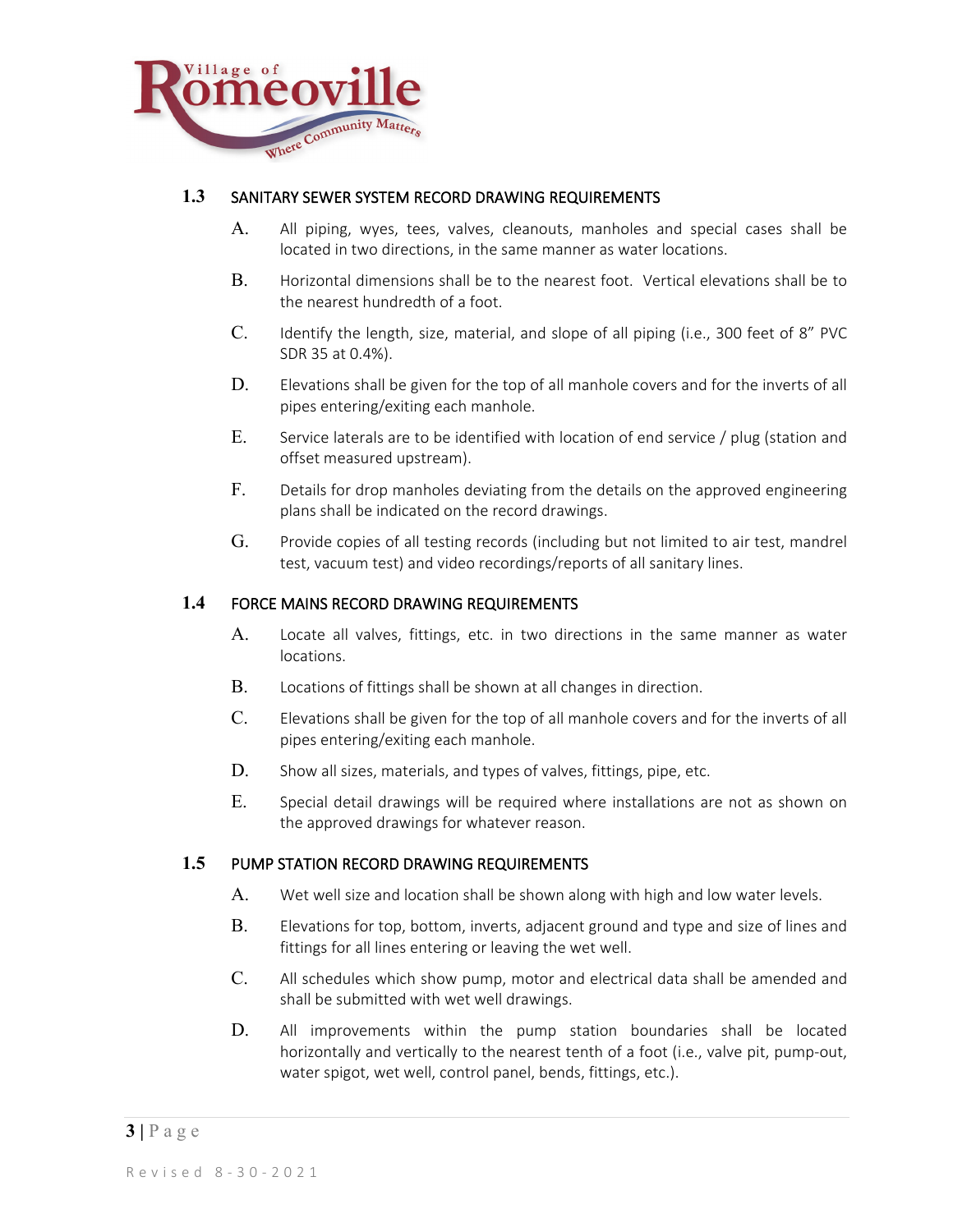

## **1.3** SANITARY SEWER SYSTEM RECORD DRAWING REQUIREMENTS

- A. All piping, wyes, tees, valves, cleanouts, manholes and special cases shall be located in two directions, in the same manner as water locations.
- B. Horizontal dimensions shall be to the nearest foot. Vertical elevations shall be to the nearest hundredth of a foot.
- C. Identify the length, size, material, and slope of all piping (i.e., 300 feet of 8" PVC SDR 35 at 0.4%).
- D. Elevations shall be given for the top of all manhole covers and for the inverts of all pipes entering/exiting each manhole.
- E. Service laterals are to be identified with location of end service / plug (station and offset measured upstream).
- F. Details for drop manholes deviating from the details on the approved engineering plans shall be indicated on the record drawings.
- G. Provide copies of all testing records (including but not limited to air test, mandrel test, vacuum test) and video recordings/reports of all sanitary lines.

#### **1.4** FORCE MAINS RECORD DRAWING REQUIREMENTS

- A. Locate all valves, fittings, etc. in two directions in the same manner as water locations.
- B. Locations of fittings shall be shown at all changes in direction.
- C. Elevations shall be given for the top of all manhole covers and for the inverts of all pipes entering/exiting each manhole.
- D. Show all sizes, materials, and types of valves, fittings, pipe, etc.
- E. Special detail drawings will be required where installations are not as shown on the approved drawings for whatever reason.

#### **1.5** PUMP STATION RECORD DRAWING REQUIREMENTS

- A. Wet well size and location shall be shown along with high and low water levels.
- B. Elevations for top, bottom, inverts, adjacent ground and type and size of lines and fittings for all lines entering or leaving the wet well.
- C. All schedules which show pump, motor and electrical data shall be amended and shall be submitted with wet well drawings.
- D. All improvements within the pump station boundaries shall be located horizontally and vertically to the nearest tenth of a foot (i.e., valve pit, pump-out, water spigot, wet well, control panel, bends, fittings, etc.).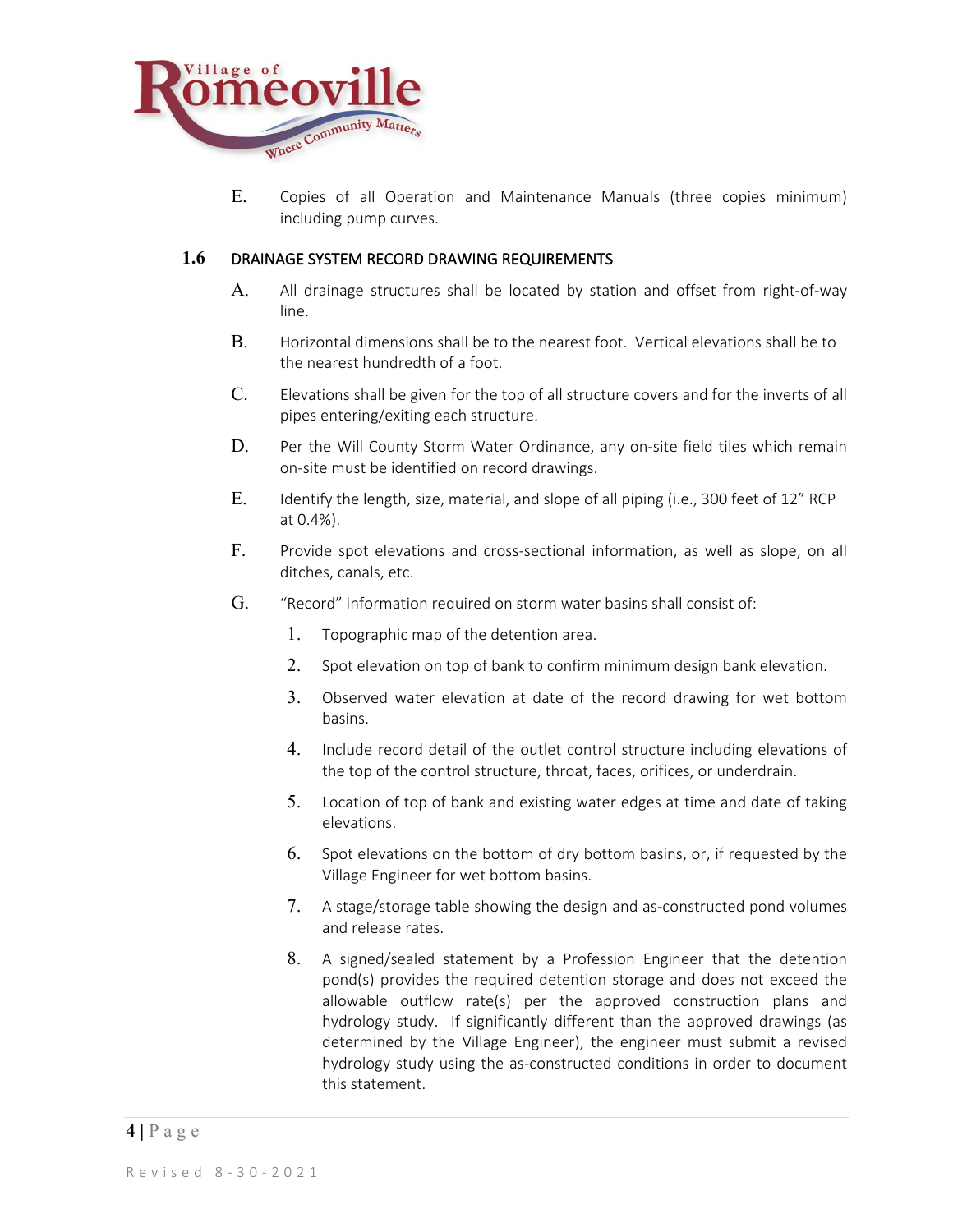

E. Copies of all Operation and Maintenance Manuals (three copies minimum) including pump curves.

#### **1.6** DRAINAGE SYSTEM RECORD DRAWING REQUIREMENTS

- A. All drainage structures shall be located by station and offset from right-of-way line.
- B. Horizontal dimensions shall be to the nearest foot. Vertical elevations shall be to the nearest hundredth of a foot.
- C. Elevations shall be given for the top of all structure covers and for the inverts of all pipes entering/exiting each structure.
- D. Per the Will County Storm Water Ordinance, any on-site field tiles which remain on-site must be identified on record drawings.
- E. Identify the length, size, material, and slope of all piping (i.e., 300 feet of 12" RCP at 0.4%).
- F. Provide spot elevations and cross-sectional information, as well as slope, on all ditches, canals, etc.
- G. "Record" information required on storm water basins shall consist of:
	- 1. Topographic map of the detention area.
	- 2. Spot elevation on top of bank to confirm minimum design bank elevation.
	- 3. Observed water elevation at date of the record drawing for wet bottom basins.
	- 4. Include record detail of the outlet control structure including elevations of the top of the control structure, throat, faces, orifices, or underdrain.
	- 5. Location of top of bank and existing water edges at time and date of taking elevations.
	- 6. Spot elevations on the bottom of dry bottom basins, or, if requested by the Village Engineer for wet bottom basins.
	- 7. A stage/storage table showing the design and as-constructed pond volumes and release rates.
	- 8. A signed/sealed statement by a Profession Engineer that the detention pond(s) provides the required detention storage and does not exceed the allowable outflow rate(s) per the approved construction plans and hydrology study. If significantly different than the approved drawings (as determined by the Village Engineer), the engineer must submit a revised hydrology study using the as-constructed conditions in order to document this statement.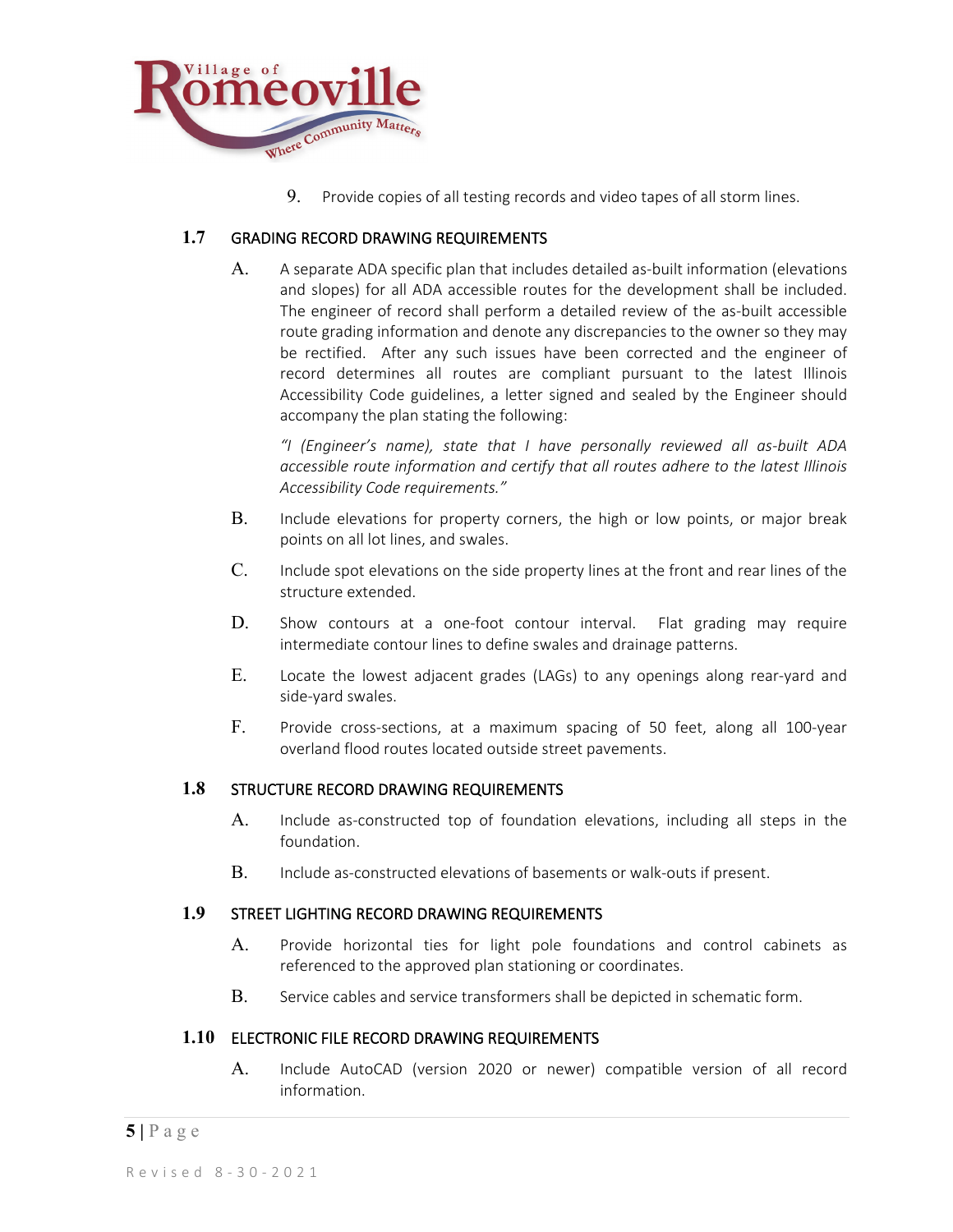

9. Provide copies of all testing records and video tapes of all storm lines.

## **1.7** GRADING RECORD DRAWING REQUIREMENTS

A. A separate ADA specific plan that includes detailed as-built information (elevations and slopes) for all ADA accessible routes for the development shall be included. The engineer of record shall perform a detailed review of the as-built accessible route grading information and denote any discrepancies to the owner so they may be rectified. After any such issues have been corrected and the engineer of record determines all routes are compliant pursuant to the latest Illinois Accessibility Code guidelines, a letter signed and sealed by the Engineer should accompany the plan stating the following:

*"I (Engineer's name), state that I have personally reviewed all as-built ADA accessible route information and certify that all routes adhere to the latest Illinois Accessibility Code requirements."*

- B. Include elevations for property corners, the high or low points, or major break points on all lot lines, and swales.
- C. Include spot elevations on the side property lines at the front and rear lines of the structure extended.
- D. Show contours at a one-foot contour interval. Flat grading may require intermediate contour lines to define swales and drainage patterns.
- E. Locate the lowest adjacent grades (LAGs) to any openings along rear-yard and side-yard swales.
- F. Provide cross-sections, at a maximum spacing of 50 feet, along all 100-year overland flood routes located outside street pavements.

#### **1.8** STRUCTURE RECORD DRAWING REQUIREMENTS

- A. Include as-constructed top of foundation elevations, including all steps in the foundation.
- B. Include as-constructed elevations of basements or walk-outs if present.

#### **1.9** STREET LIGHTING RECORD DRAWING REQUIREMENTS

- A. Provide horizontal ties for light pole foundations and control cabinets as referenced to the approved plan stationing or coordinates.
- B. Service cables and service transformers shall be depicted in schematic form.

#### **1.10** ELECTRONIC FILE RECORD DRAWING REQUIREMENTS

A. Include AutoCAD (version 2020 or newer) compatible version of all record information.